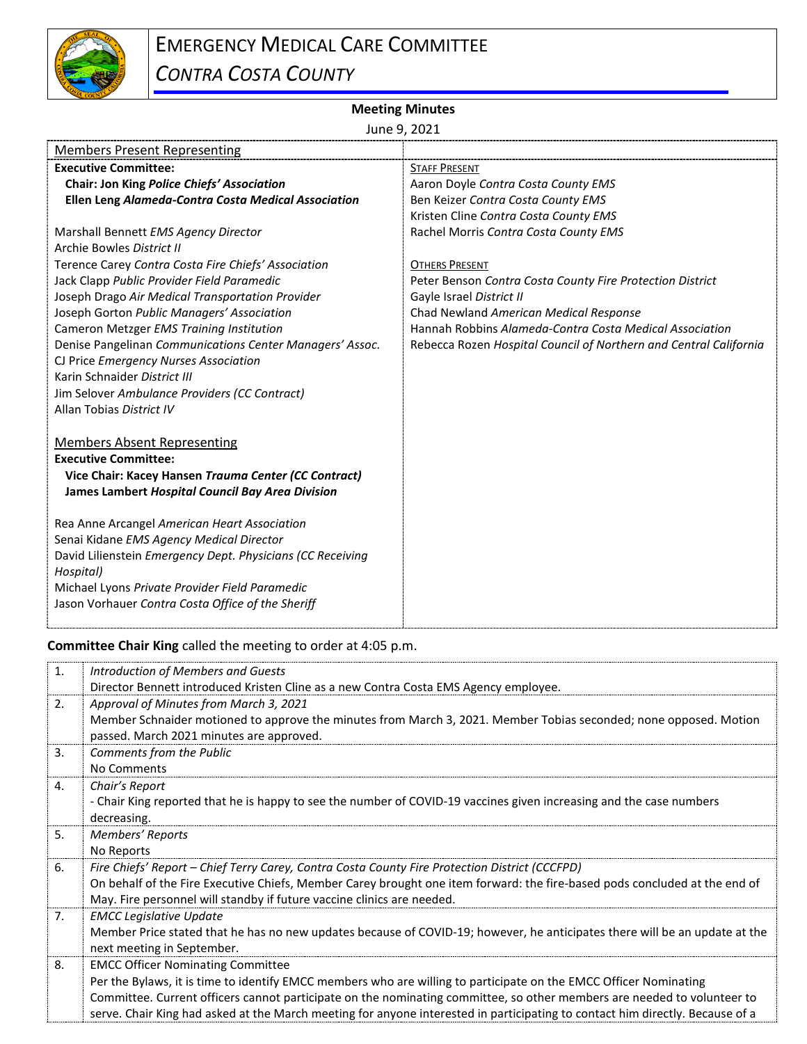

## EMERGENCY MEDICAL CARE COMMITTEE *CONTRA COSTA COUNTY*

## **Meeting Minutes**

June 9, 2021

| <b>Members Present Representing</b>                        |                                                                   |
|------------------------------------------------------------|-------------------------------------------------------------------|
| <b>Executive Committee:</b>                                | <b>STAFF PRESENT</b>                                              |
| Chair: Jon King Police Chiefs' Association                 | Aaron Doyle Contra Costa County EMS                               |
| Ellen Leng Alameda-Contra Costa Medical Association        | Ben Keizer Contra Costa County EMS                                |
|                                                            | Kristen Cline Contra Costa County EMS                             |
| Marshall Bennett EMS Agency Director                       | Rachel Morris Contra Costa County EMS                             |
| Archie Bowles District II                                  |                                                                   |
| Terence Carey Contra Costa Fire Chiefs' Association        | <b>OTHERS PRESENT</b>                                             |
| Jack Clapp Public Provider Field Paramedic                 | Peter Benson Contra Costa County Fire Protection District         |
| Joseph Drago Air Medical Transportation Provider           | Gayle Israel District II                                          |
| Joseph Gorton Public Managers' Association                 | Chad Newland American Medical Response                            |
| Cameron Metzger EMS Training Institution                   | Hannah Robbins Alameda-Contra Costa Medical Association           |
| Denise Pangelinan Communications Center Managers' Assoc.   | Rebecca Rozen Hospital Council of Northern and Central California |
| CJ Price Emergency Nurses Association                      |                                                                   |
| Karin Schnaider District III                               |                                                                   |
| Jim Selover Ambulance Providers (CC Contract)              |                                                                   |
| Allan Tobias District IV                                   |                                                                   |
| <b>Members Absent Representing</b>                         |                                                                   |
| <b>Executive Committee:</b>                                |                                                                   |
| Vice Chair: Kacey Hansen Trauma Center (CC Contract)       |                                                                   |
| James Lambert Hospital Council Bay Area Division           |                                                                   |
|                                                            |                                                                   |
| Rea Anne Arcangel American Heart Association               |                                                                   |
| Senai Kidane EMS Agency Medical Director                   |                                                                   |
| David Lilienstein Emergency Dept. Physicians (CC Receiving |                                                                   |
| Hospital)                                                  |                                                                   |
| Michael Lyons Private Provider Field Paramedic             |                                                                   |
| Jason Vorhauer Contra Costa Office of the Sheriff          |                                                                   |
|                                                            |                                                                   |

**Committee Chair King** called the meeting to order at 4:05 p.m.

| 1.             | Introduction of Members and Guests                                                                                                                            |
|----------------|---------------------------------------------------------------------------------------------------------------------------------------------------------------|
|                | Director Bennett introduced Kristen Cline as a new Contra Costa EMS Agency employee.                                                                          |
| 2.             | Approval of Minutes from March 3, 2021                                                                                                                        |
|                | Member Schnaider motioned to approve the minutes from March 3, 2021. Member Tobias seconded; none opposed. Motion<br>passed. March 2021 minutes are approved. |
| 3.             | Comments from the Public                                                                                                                                      |
|                | No Comments                                                                                                                                                   |
| 4.             | Chair's Report                                                                                                                                                |
|                | - Chair King reported that he is happy to see the number of COVID-19 vaccines given increasing and the case numbers                                           |
|                | decreasing.                                                                                                                                                   |
| 5.             | Members' Reports                                                                                                                                              |
|                | No Reports                                                                                                                                                    |
| 6.             | Fire Chiefs' Report - Chief Terry Carey, Contra Costa County Fire Protection District (CCCFPD)                                                                |
|                | On behalf of the Fire Executive Chiefs, Member Carey brought one item forward: the fire-based pods concluded at the end of                                    |
|                | May. Fire personnel will standby if future vaccine clinics are needed.                                                                                        |
| 7 <sub>1</sub> | <b>EMCC Legislative Update</b>                                                                                                                                |
|                | Member Price stated that he has no new updates because of COVID-19; however, he anticipates there will be an update at the                                    |
|                | next meeting in September.                                                                                                                                    |
| 8.             | <b>EMCC Officer Nominating Committee</b>                                                                                                                      |
|                | Per the Bylaws, it is time to identify EMCC members who are willing to participate on the EMCC Officer Nominating                                             |
|                | Committee. Current officers cannot participate on the nominating committee, so other members are needed to volunteer to                                       |
|                | serve. Chair King had asked at the March meeting for anyone interested in participating to contact him directly. Because of a                                 |
|                |                                                                                                                                                               |